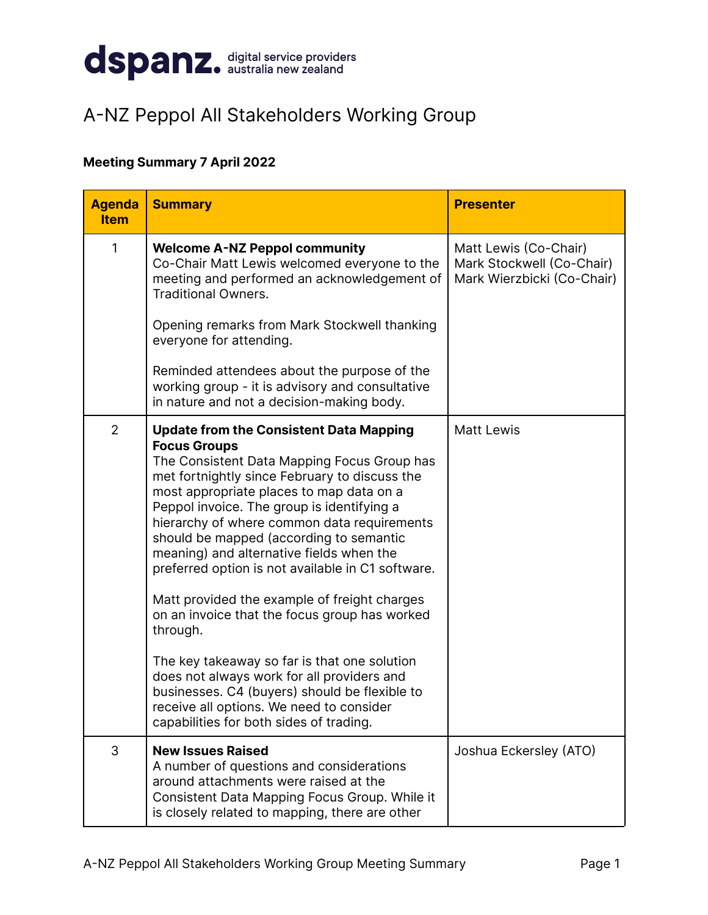

## A-NZ Peppol All Stakeholders Working Group

## **Meeting Summary 7 April 2022**

| <b>Agenda</b><br><b>Item</b> | <b>Summary</b>                                                                                                                                                                                                                                                                                                                                                                                                                                                                                                                                                                                                                                                                                                                                                                                                | <b>Presenter</b>                                                                 |
|------------------------------|---------------------------------------------------------------------------------------------------------------------------------------------------------------------------------------------------------------------------------------------------------------------------------------------------------------------------------------------------------------------------------------------------------------------------------------------------------------------------------------------------------------------------------------------------------------------------------------------------------------------------------------------------------------------------------------------------------------------------------------------------------------------------------------------------------------|----------------------------------------------------------------------------------|
| 1                            | <b>Welcome A-NZ Peppol community</b><br>Co-Chair Matt Lewis welcomed everyone to the<br>meeting and performed an acknowledgement of<br><b>Traditional Owners.</b><br>Opening remarks from Mark Stockwell thanking                                                                                                                                                                                                                                                                                                                                                                                                                                                                                                                                                                                             | Matt Lewis (Co-Chair)<br>Mark Stockwell (Co-Chair)<br>Mark Wierzbicki (Co-Chair) |
|                              | everyone for attending.<br>Reminded attendees about the purpose of the<br>working group - it is advisory and consultative<br>in nature and not a decision-making body.                                                                                                                                                                                                                                                                                                                                                                                                                                                                                                                                                                                                                                        |                                                                                  |
| $\overline{2}$               | <b>Update from the Consistent Data Mapping</b><br><b>Focus Groups</b><br>The Consistent Data Mapping Focus Group has<br>met fortnightly since February to discuss the<br>most appropriate places to map data on a<br>Peppol invoice. The group is identifying a<br>hierarchy of where common data requirements<br>should be mapped (according to semantic<br>meaning) and alternative fields when the<br>preferred option is not available in C1 software.<br>Matt provided the example of freight charges<br>on an invoice that the focus group has worked<br>through.<br>The key takeaway so far is that one solution<br>does not always work for all providers and<br>businesses. C4 (buyers) should be flexible to<br>receive all options. We need to consider<br>capabilities for both sides of trading. | <b>Matt Lewis</b>                                                                |
| 3                            | <b>New Issues Raised</b><br>A number of questions and considerations<br>around attachments were raised at the<br>Consistent Data Mapping Focus Group. While it<br>is closely related to mapping, there are other                                                                                                                                                                                                                                                                                                                                                                                                                                                                                                                                                                                              | Joshua Eckersley (ATO)                                                           |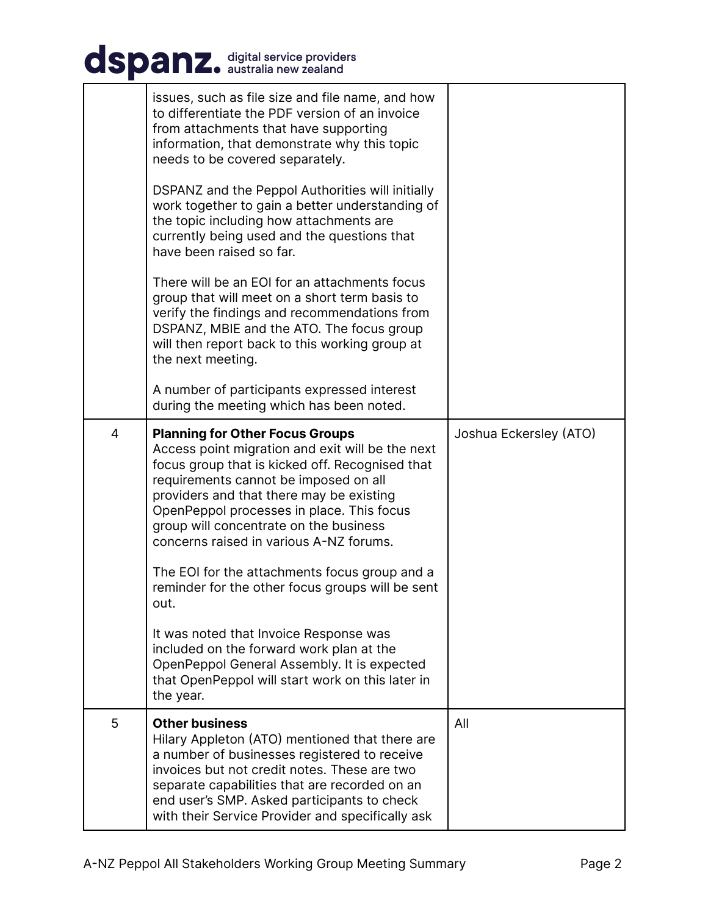## dspanz. digital service providers

|   | issues, such as file size and file name, and how<br>to differentiate the PDF version of an invoice<br>from attachments that have supporting<br>information, that demonstrate why this topic<br>needs to be covered separately.<br>DSPANZ and the Peppol Authorities will initially<br>work together to gain a better understanding of<br>the topic including how attachments are<br>currently being used and the questions that<br>have been raised so far.<br>There will be an EOI for an attachments focus<br>group that will meet on a short term basis to<br>verify the findings and recommendations from<br>DSPANZ, MBIE and the ATO. The focus group<br>will then report back to this working group at<br>the next meeting. |                        |
|---|-----------------------------------------------------------------------------------------------------------------------------------------------------------------------------------------------------------------------------------------------------------------------------------------------------------------------------------------------------------------------------------------------------------------------------------------------------------------------------------------------------------------------------------------------------------------------------------------------------------------------------------------------------------------------------------------------------------------------------------|------------------------|
|   | A number of participants expressed interest<br>during the meeting which has been noted.                                                                                                                                                                                                                                                                                                                                                                                                                                                                                                                                                                                                                                           |                        |
| 4 | <b>Planning for Other Focus Groups</b><br>Access point migration and exit will be the next<br>focus group that is kicked off. Recognised that<br>requirements cannot be imposed on all<br>providers and that there may be existing<br>OpenPeppol processes in place. This focus<br>group will concentrate on the business<br>concerns raised in various A-NZ forums.<br>The EOI for the attachments focus group and a<br>reminder for the other focus groups will be sent<br>out.<br>It was noted that Invoice Response was<br>included on the forward work plan at the<br>OpenPeppol General Assembly. It is expected<br>that OpenPeppol will start work on this later in<br>the year.                                           | Joshua Eckersley (ATO) |
| 5 | <b>Other business</b><br>Hilary Appleton (ATO) mentioned that there are<br>a number of businesses registered to receive<br>invoices but not credit notes. These are two<br>separate capabilities that are recorded on an<br>end user's SMP. Asked participants to check                                                                                                                                                                                                                                                                                                                                                                                                                                                           | All                    |